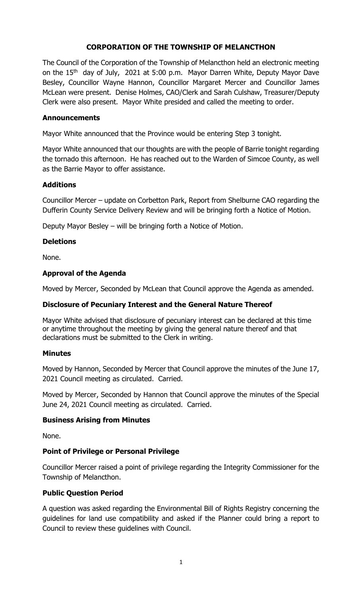# **CORPORATION OF THE TOWNSHIP OF MELANCTHON**

The Council of the Corporation of the Township of Melancthon held an electronic meeting on the 15<sup>th</sup> day of July, 2021 at 5:00 p.m. Mayor Darren White, Deputy Mayor Dave Besley, Councillor Wayne Hannon, Councillor Margaret Mercer and Councillor James McLean were present. Denise Holmes, CAO/Clerk and Sarah Culshaw, Treasurer/Deputy Clerk were also present. Mayor White presided and called the meeting to order.

### **Announcements**

Mayor White announced that the Province would be entering Step 3 tonight.

Mayor White announced that our thoughts are with the people of Barrie tonight regarding the tornado this afternoon. He has reached out to the Warden of Simcoe County, as well as the Barrie Mayor to offer assistance.

### **Additions**

Councillor Mercer – update on Corbetton Park, Report from Shelburne CAO regarding the Dufferin County Service Delivery Review and will be bringing forth a Notice of Motion.

Deputy Mayor Besley – will be bringing forth a Notice of Motion.

# **Deletions**

None.

### **Approval of the Agenda**

Moved by Mercer, Seconded by McLean that Council approve the Agenda as amended.

#### **Disclosure of Pecuniary Interest and the General Nature Thereof**

Mayor White advised that disclosure of pecuniary interest can be declared at this time or anytime throughout the meeting by giving the general nature thereof and that declarations must be submitted to the Clerk in writing.

#### **Minutes**

Moved by Hannon, Seconded by Mercer that Council approve the minutes of the June 17, 2021 Council meeting as circulated. Carried.

Moved by Mercer, Seconded by Hannon that Council approve the minutes of the Special June 24, 2021 Council meeting as circulated. Carried.

#### **Business Arising from Minutes**

None.

#### **Point of Privilege or Personal Privilege**

Councillor Mercer raised a point of privilege regarding the Integrity Commissioner for the Township of Melancthon.

#### **Public Question Period**

A question was asked regarding the Environmental Bill of Rights Registry concerning the guidelines for land use compatibility and asked if the Planner could bring a report to Council to review these guidelines with Council.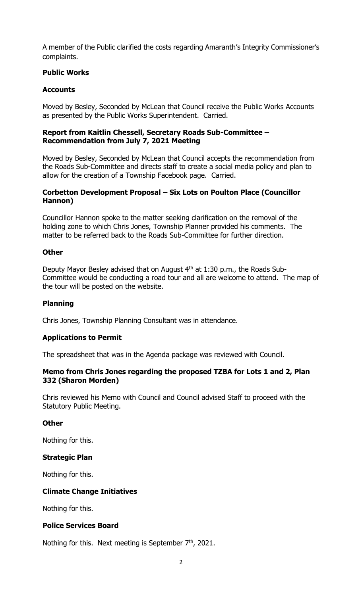A member of the Public clarified the costs regarding Amaranth's Integrity Commissioner's complaints.

### **Public Works**

### **Accounts**

Moved by Besley, Seconded by McLean that Council receive the Public Works Accounts as presented by the Public Works Superintendent. Carried.

### **Report from Kaitlin Chessell, Secretary Roads Sub-Committee – Recommendation from July 7, 2021 Meeting**

Moved by Besley, Seconded by McLean that Council accepts the recommendation from the Roads Sub-Committee and directs staff to create a social media policy and plan to allow for the creation of a Township Facebook page. Carried.

### **Corbetton Development Proposal – Six Lots on Poulton Place (Councillor Hannon)**

Councillor Hannon spoke to the matter seeking clarification on the removal of the holding zone to which Chris Jones, Township Planner provided his comments. The matter to be referred back to the Roads Sub-Committee for further direction.

### **Other**

Deputy Mayor Besley advised that on August 4th at 1:30 p.m., the Roads Sub-Committee would be conducting a road tour and all are welcome to attend. The map of the tour will be posted on the website.

#### **Planning**

Chris Jones, Township Planning Consultant was in attendance.

#### **Applications to Permit**

The spreadsheet that was in the Agenda package was reviewed with Council.

#### **Memo from Chris Jones regarding the proposed TZBA for Lots 1 and 2, Plan 332 (Sharon Morden)**

Chris reviewed his Memo with Council and Council advised Staff to proceed with the Statutory Public Meeting.

#### **Other**

Nothing for this.

#### **Strategic Plan**

Nothing for this.

#### **Climate Change Initiatives**

Nothing for this.

#### **Police Services Board**

Nothing for this. Next meeting is September  $7<sup>th</sup>$ , 2021.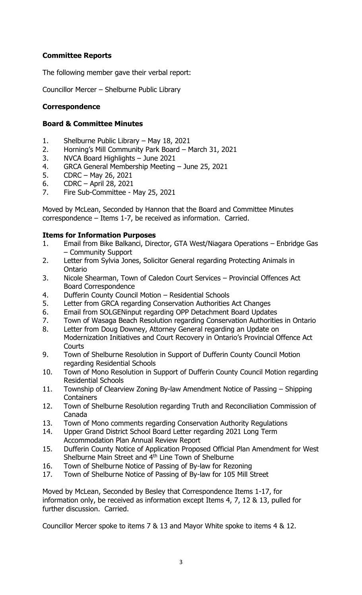# **Committee Reports**

The following member gave their verbal report:

Councillor Mercer – Shelburne Public Library

# **Correspondence**

### **Board & Committee Minutes**

- 1. Shelburne Public Library May 18, 2021
- 2. Horning's Mill Community Park Board March 31, 2021
- 3. NVCA Board Highlights June 2021
- 4. GRCA General Membership Meeting June 25, 2021
- 5. CDRC May 26, 2021
- 6. CDRC April 28, 2021
- 7. Fire Sub-Committee May 25, 2021

Moved by McLean, Seconded by Hannon that the Board and Committee Minutes correspondence – Items 1-7, be received as information. Carried.

### **Items for Information Purposes**

- 1. Email from Bike Balkanci, Director, GTA West/Niagara Operations Enbridge Gas – Community Support
- 2. Letter from Sylvia Jones, Solicitor General regarding Protecting Animals in Ontario
- 3. Nicole Shearman, Town of Caledon Court Services Provincial Offences Act Board Correspondence
- 4. Dufferin County Council Motion Residential Schools
- 5. Letter from GRCA regarding Conservation Authorities Act Changes
- 6. Email from SOLGENinput regarding OPP Detachment Board Updates
- 7. Town of Wasaga Beach Resolution regarding Conservation Authorities in Ontario
- 8. Letter from Doug Downey, Attorney General regarding an Update on Modernization Initiatives and Court Recovery in Ontario's Provincial Offence Act **Courts**
- 9. Town of Shelburne Resolution in Support of Dufferin County Council Motion regarding Residential Schools
- 10. Town of Mono Resolution in Support of Dufferin County Council Motion regarding Residential Schools
- 11. Township of Clearview Zoning By-law Amendment Notice of Passing Shipping **Containers**
- 12. Town of Shelburne Resolution regarding Truth and Reconciliation Commission of Canada
- 13. Town of Mono comments regarding Conservation Authority Regulations
- 14. Upper Grand District School Board Letter regarding 2021 Long Term Accommodation Plan Annual Review Report
- 15. Dufferin County Notice of Application Proposed Official Plan Amendment for West Shelburne Main Street and 4<sup>th</sup> Line Town of Shelburne
- 16. Town of Shelburne Notice of Passing of By-law for Rezoning
- 17. Town of Shelburne Notice of Passing of By-law for 105 Mill Street

Moved by McLean, Seconded by Besley that Correspondence Items 1-17, for information only, be received as information except Items 4, 7, 12 & 13, pulled for further discussion. Carried.

Councillor Mercer spoke to items 7 & 13 and Mayor White spoke to items 4 & 12.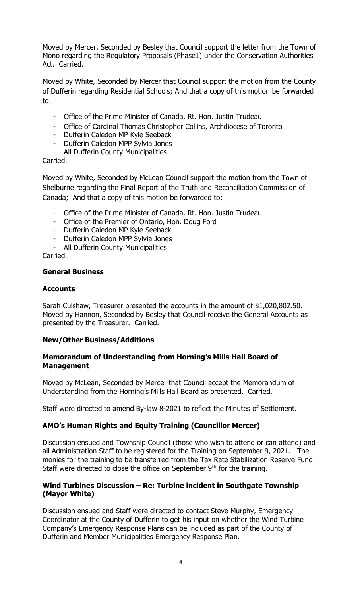Moved by Mercer, Seconded by Besley that Council support the letter from the Town of Mono regarding the Regulatory Proposals (Phase1) under the Conservation Authorities Act. Carried.

Moved by White, Seconded by Mercer that Council support the motion from the County of Dufferin regarding Residential Schools; And that a copy of this motion be forwarded to:

- Office of the Prime Minister of Canada, Rt. Hon. Justin Trudeau
- Office of Cardinal Thomas Christopher Collins, Archdiocese of Toronto
- Dufferin Caledon MP Kyle Seeback
- Dufferin Caledon MPP Sylvia Jones
- All Dufferin County Municipalities

#### Carried.

Moved by White, Seconded by McLean Council support the motion from the Town of Shelburne regarding the Final Report of the Truth and Reconciliation Commission of Canada; And that a copy of this motion be forwarded to:

- Office of the Prime Minister of Canada, Rt. Hon. Justin Trudeau
- Office of the Premier of Ontario, Hon. Doug Ford
- Dufferin Caledon MP Kyle Seeback
- Dufferin Caledon MPP Sylvia Jones
- All Dufferin County Municipalities

Carried.

#### **General Business**

### **Accounts**

Sarah Culshaw, Treasurer presented the accounts in the amount of \$1,020,802.50. Moved by Hannon, Seconded by Besley that Council receive the General Accounts as presented by the Treasurer. Carried.

#### **New/Other Business/Additions**

### **Memorandum of Understanding from Horning's Mills Hall Board of Management**

Moved by McLean, Seconded by Mercer that Council accept the Memorandum of Understanding from the Horning's Mills Hall Board as presented. Carried.

Staff were directed to amend By-law 8-2021 to reflect the Minutes of Settlement.

# **AMO's Human Rights and Equity Training (Councillor Mercer)**

Discussion ensued and Township Council (those who wish to attend or can attend) and all Administration Staff to be registered for the Training on September 9, 2021. The monies for the training to be transferred from the Tax Rate Stabilization Reserve Fund. Staff were directed to close the office on September  $9<sup>th</sup>$  for the training.

### **Wind Turbines Discussion – Re: Turbine incident in Southgate Township (Mayor White)**

Discussion ensued and Staff were directed to contact Steve Murphy, Emergency Coordinator at the County of Dufferin to get his input on whether the Wind Turbine Company's Emergency Response Plans can be included as part of the County of Dufferin and Member Municipalities Emergency Response Plan.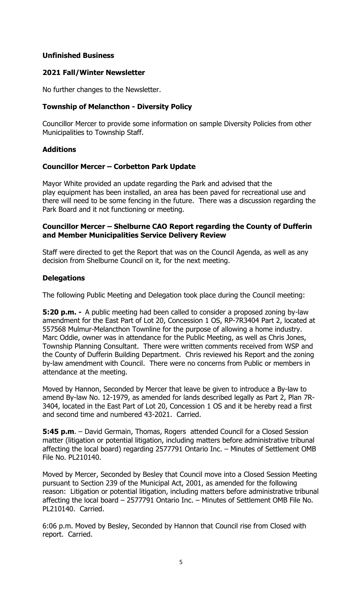### **Unfinished Business**

### **2021 Fall/Winter Newsletter**

No further changes to the Newsletter.

# **Township of Melancthon - Diversity Policy**

Councillor Mercer to provide some information on sample Diversity Policies from other Municipalities to Township Staff.

### **Additions**

### **Councillor Mercer – Corbetton Park Update**

Mayor White provided an update regarding the Park and advised that the play equipment has been installed, an area has been paved for recreational use and there will need to be some fencing in the future. There was a discussion regarding the Park Board and it not functioning or meeting.

#### **Councillor Mercer – Shelburne CAO Report regarding the County of Dufferin and Member Municipalities Service Delivery Review**

Staff were directed to get the Report that was on the Council Agenda, as well as any decision from Shelburne Council on it, for the next meeting.

### **Delegations**

The following Public Meeting and Delegation took place during the Council meeting:

**5:20 p.m. -** A public meeting had been called to consider a proposed zoning by-law amendment for the East Part of Lot 20, Concession 1 OS, RP-7R3404 Part 2, located at 557568 Mulmur-Melancthon Townline for the purpose of allowing a home industry. Marc Oddie, owner was in attendance for the Public Meeting, as well as Chris Jones, Township Planning Consultant. There were written comments received from WSP and the County of Dufferin Building Department. Chris reviewed his Report and the zoning by-law amendment with Council. There were no concerns from Public or members in attendance at the meeting.

Moved by Hannon, Seconded by Mercer that leave be given to introduce a By-law to amend By-law No. 12-1979, as amended for lands described legally as Part 2, Plan 7R-3404, located in the East Part of Lot 20, Concession 1 OS and it be hereby read a first and second time and numbered 43-2021. Carried.

**5:45 p.m.** – David Germain, Thomas, Rogers attended Council for a Closed Session matter (litigation or potential litigation, including matters before administrative tribunal affecting the local board) regarding 2577791 Ontario Inc. – Minutes of Settlement OMB File No. PL210140.

Moved by Mercer, Seconded by Besley that Council move into a Closed Session Meeting pursuant to Section 239 of the Municipal Act, 2001, as amended for the following reason: Litigation or potential litigation, including matters before administrative tribunal affecting the local board – 2577791 Ontario Inc. – Minutes of Settlement OMB File No. PL210140. Carried.

6:06 p.m. Moved by Besley, Seconded by Hannon that Council rise from Closed with report. Carried.